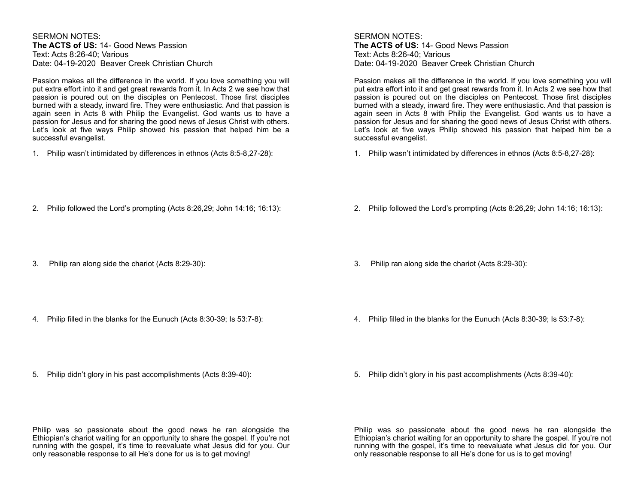SERMON NOTES: **The ACTS of US:** 14- Good News Passion Text: Acts 8:26-40; Various Date: 04-19-2020 Beaver Creek Christian Church

Passion makes all the difference in the world. If you love something you will put extra effort into it and get great rewards from it. In Acts 2 we see how that passion is poured out on the disciples on Pentecost. Those first disciples burned with a steady, inward fire. They were enthusiastic. And that passion is again seen in Acts 8 with Philip the Evangelist. God wants us to have a passion for Jesus and for sharing the good news of Jesus Christ with others. Let's look at five ways Philip showed his passion that helped him be a successful evangelist.

1. Philip wasn't intimidated by differences in ethnos (Acts 8:5-8,27-28):

# SERMON NOTES: **The ACTS of US:** 14- Good News Passion Text: Acts 8:26-40; Various Date: 04-19-2020 Beaver Creek Christian Church

Passion makes all the difference in the world. If you love something you will put extra effort into it and get great rewards from it. In Acts 2 we see how that passion is poured out on the disciples on Pentecost. Those first disciples burned with a steady, inward fire. They were enthusiastic. And that passion is again seen in Acts 8 with Philip the Evangelist. God wants us to have a passion for Jesus and for sharing the good news of Jesus Christ with others. Let's look at five ways Philip showed his passion that helped him be a successful evangelist.

1. Philip wasn't intimidated by differences in ethnos (Acts 8:5-8,27-28):

2. Philip followed the Lord's prompting (Acts 8:26,29; John 14:16; 16:13):

2. Philip followed the Lord's prompting (Acts 8:26,29; John 14:16; 16:13):

3. Philip ran along side the chariot (Acts 8:29-30):

3. Philip ran along side the chariot (Acts 8:29-30):

4. Philip filled in the blanks for the Eunuch (Acts 8:30-39; Is 53:7-8):

4. Philip filled in the blanks for the Eunuch (Acts 8:30-39; Is 53:7-8):

5. Philip didn't glory in his past accomplishments (Acts 8:39-40):

5. Philip didn't glory in his past accomplishments (Acts 8:39-40):

Philip was so passionate about the good news he ran alongside the Ethiopian's chariot waiting for an opportunity to share the gospel. If you're not running with the gospel, it's time to reevaluate what Jesus did for you. Our only reasonable response to all He's done for us is to get moving!

Philip was so passionate about the good news he ran alongside the Ethiopian's chariot waiting for an opportunity to share the gospel. If you're not running with the gospel, it's time to reevaluate what Jesus did for you. Our only reasonable response to all He's done for us is to get moving!